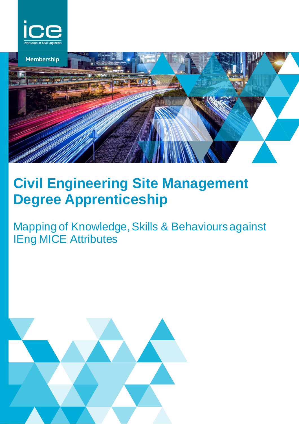



# **Civil Engineering Site Management Degree Apprenticeship**

## Mapping of Knowledge, Skills & Behaviours against IEng MICE Attributes

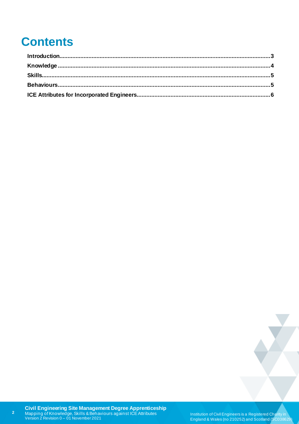## **Contents**

Institution of Civil Engineers is a Registered Charity in England & Wales (no 210252) and Scotland (SC038629)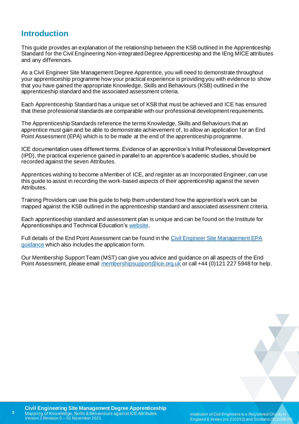#### <span id="page-2-0"></span>**Introduction**

This guide provides an explanation of the relationship between the KSB outlined in the Apprenticeship Standard for the Civil Engineering Non-integrated Degree Apprenticeship and the IEng MICE attributes and any differences.

As a Civil Engineer Site Management Degree Apprentice, you will need to demonstrate throughout your apprenticeship programme how your practical experience is providing you with evidence to show that you have gained the appropriate Knowledge, Skills and Behaviours (KSB) outlined in the apprenticeship standard and the associated assessment criteria.

Each Apprenticeship Standard has a unique set of KSB that must be achieved and ICE has ensured that these professional standards are comparable with our professional development requirements.

The Apprenticeship Standards reference the terms Knowledge, Skills and Behaviours that an apprentice must gain and be able to demonstrate achievement of, to allow an application for an End Point Assessment (EPA) which is to be made at the end of the apprenticeship programme.

ICE documentation uses different terms. Evidence of an apprentice's Initial Professional Development (IPD), the practical experience gained in parallel to an apprentice's academic studies, should be recorded against the seven Attributes.

Apprentices wishing to become a Member of ICE, and register as an Incorporated Engineer, can use this guide to assist in recording the work-based aspects of their apprenticeship against the seven Attributes.

Training Providers can use this guide to help them understand how the apprentice's work can be mapped against the KSB outlined in the apprenticeship standard and associated assessment criteria.

Each apprenticeship standard and assessment plan is unique and can be found on the Institute for Apprenticeships and Technical Education'[s website](https://www.instituteforapprenticeships.org/apprenticeship-standards/).

Full details of the End Point Assessment can be found in the [Civil Engineer Site Management EPA](https://www.ice.org.uk/my-ice/membership-documents/site-manager-degree-apprenticeship-end-point-asses)  [guidance](https://www.ice.org.uk/my-ice/membership-documents/site-manager-degree-apprenticeship-end-point-asses) which also includes the application form.

Our Membership Support Team (MST) can give you advice and guidance on all aspects of the End Point Assessment, please email [membershipsupport@ice.org.uk](mailto:membershipsupport@ice.org.uk) or call +44 (0)121 227 5948 for help.

**3**

Institution of Civil Engineers is a Registered Charity in England & Wales (no 210252) and Scotland (SC038629)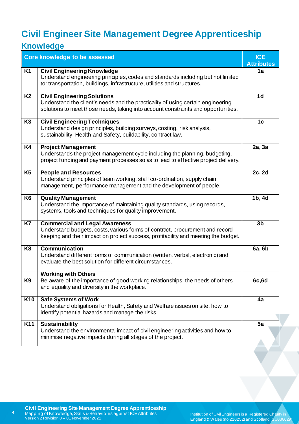## <span id="page-3-0"></span>**Civil Engineer Site Management Degree Apprenticeship**

### **Knowledge**

|                 | <b>Core knowledge to be assessed</b>                                                                                                                                                                        | <b>ICE</b><br><b>Attributes</b> |
|-----------------|-------------------------------------------------------------------------------------------------------------------------------------------------------------------------------------------------------------|---------------------------------|
| K <sub>1</sub>  | <b>Civil Engineering Knowledge</b><br>Understand engineering principles, codes and standards including but not limited<br>to: transportation, buildings, infrastructure, utilities and structures.          | 1a                              |
| <b>K2</b>       | <b>Civil Engineering Solutions</b><br>Understand the client's needs and the practicality of using certain engineering<br>solutions to meet those needs, taking into account constraints and opportunities.  | 1 <sub>d</sub>                  |
| K <sub>3</sub>  | <b>Civil Engineering Techniques</b><br>Understand design principles, building surveys, costing, risk analysis,<br>sustainability, Health and Safety, buildability, contract law.                            | 1 <sub>c</sub>                  |
| K4              | <b>Project Management</b><br>Understands the project management cycle including the planning, budgeting,<br>project funding and payment processes so as to lead to effective project delivery.              | 2a, 3a                          |
| K <sub>5</sub>  | <b>People and Resources</b><br>Understand principles of team working, staff co-ordination, supply chain<br>management, performance management and the development of people.                                | 2c, 2d                          |
| K <sub>6</sub>  | <b>Quality Management</b><br>Understand the importance of maintaining quality standards, using records,<br>systems, tools and techniques for quality improvement.                                           | 1b, 4d                          |
| K7              | <b>Commercial and Legal Awareness</b><br>Understand budgets, costs, various forms of contract, procurement and record<br>keeping and their impact on project success, profitability and meeting the budget. | 3 <sub>b</sub>                  |
| K <sub>8</sub>  | <b>Communication</b><br>Understand different forms of communication (written, verbal, electronic) and<br>evaluate the best solution for different circumstances.                                            | 6a, 6b                          |
| K9              | <b>Working with Others</b><br>Be aware of the importance of good working relationships, the needs of others<br>and equality and diversity in the workplace.                                                 | 6c, 6d                          |
| K <sub>10</sub> | <b>Safe Systems of Work</b><br>Understand obligations for Health, Safety and Welfare issues on site, how to<br>identify potential hazards and manage the risks.                                             | 4a                              |
| K11             | <b>Sustainability</b><br>Understand the environmental impact of civil engineering activities and how to<br>minimise negative impacts during all stages of the project.                                      | 5a                              |

**4**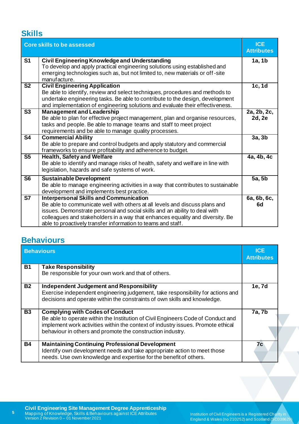#### <span id="page-4-0"></span>**Skills**

|                          | <b>Core skills to be assessed</b>                                                                                                                                                                                                                                                                                                                           | <b>ICE</b><br><b>Attributes</b> |
|--------------------------|-------------------------------------------------------------------------------------------------------------------------------------------------------------------------------------------------------------------------------------------------------------------------------------------------------------------------------------------------------------|---------------------------------|
| S <sub>1</sub>           | <b>Civil Engineering Knowledge and Understanding</b><br>To develop and apply practical engineering solutions using established and<br>emerging technologies such as, but not limited to, new materials or off-site<br>manufacture.                                                                                                                          | 1a, 1b                          |
| S <sub>2</sub>           | <b>Civil Engineering Application</b><br>Be able to identify, review and select techniques, procedures and methods to<br>undertake engineering tasks. Be able to contribute to the design, development<br>and implementation of engineering solutions and evaluate their effectiveness.                                                                      | 1c, 1d                          |
| $\overline{\text{S3}}$   | <b>Management and Leadership</b><br>Be able to plan for effective project management, plan and organise resources,<br>tasks and people. Be able to manage teams and staff to meet project<br>requirements and be able to manage quality processes.                                                                                                          | 2a, 2b, 2c,<br>2d, 2e           |
| S <sub>4</sub>           | <b>Commercial Ability</b><br>Be able to prepare and control budgets and apply statutory and commercial<br>frameworks to ensure profitability and adherence to budget.                                                                                                                                                                                       | 3a, 3b                          |
| S <sub>5</sub>           | <b>Health, Safety and Welfare</b><br>Be able to identify and manage risks of health, safety and welfare in line with<br>legislation, hazards and safe systems of work.                                                                                                                                                                                      | 4a, 4b, 4c                      |
| S <sub>6</sub>           | <b>Sustainable Development</b><br>Be able to manage engineering activities in a way that contributes to sustainable<br>development and implements best practice.                                                                                                                                                                                            | 5a, 5b                          |
| $\overline{\mathsf{S7}}$ | <b>Interpersonal Skills and Communication</b><br>Be able to communicate well with others at all levels and discuss plans and<br>issues. Demonstrate personal and social skills and an ability to deal with<br>colleagues and stakeholders in a way that enhances equality and diversity. Be<br>able to proactively transfer information to teams and staff. | 6a, 6b, 6c,<br>6d               |

### <span id="page-4-1"></span>**Behaviours**

<span id="page-4-2"></span>

|                 | <b>Behaviours</b>                                                                                                                                                                                       | <b>ICE</b><br><b>Attributes</b> |
|-----------------|---------------------------------------------------------------------------------------------------------------------------------------------------------------------------------------------------------|---------------------------------|
| <b>B1</b>       | <b>Take Responsibility</b>                                                                                                                                                                              |                                 |
|                 | Be responsible for your own work and that of others.                                                                                                                                                    |                                 |
| <b>B2</b>       | Independent Judgement and Responsibility                                                                                                                                                                | 1e, 7d                          |
|                 | Exercise independent engineering judgement, take responsibility for actions and<br>decisions and operate within the constraints of own skills and knowledge.                                            |                                 |
|                 |                                                                                                                                                                                                         |                                 |
| $\overline{B3}$ | <b>Complying with Codes of Conduct</b>                                                                                                                                                                  | 7a, 7b                          |
|                 | Be able to operate within the Institution of Civil Engineers Code of Conduct and                                                                                                                        |                                 |
|                 | implement work activities within the context of industry issues. Promote ethical                                                                                                                        |                                 |
|                 | behaviour in others and promote the construction industry.                                                                                                                                              |                                 |
| <b>B4</b>       | <b>Maintaining Continuing Professional Development</b><br>Identify own development needs and take appropriate action to meet those<br>needs. Use own knowledge and expertise for the benefit of others. | 7c                              |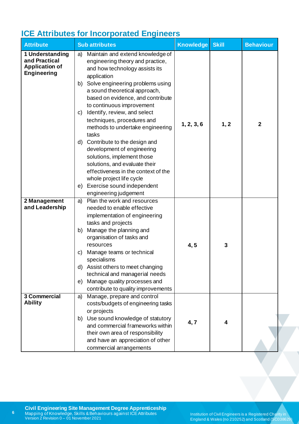### **ICE Attributes for Incorporated Engineers**

| <b>Attribute</b>                                                                | <b>Sub attributes</b>                                                                                                                                                                                                                                                                                                                                                                                     | <b>Knowledge</b> | <b>Skill</b> | <b>Behaviour</b> |
|---------------------------------------------------------------------------------|-----------------------------------------------------------------------------------------------------------------------------------------------------------------------------------------------------------------------------------------------------------------------------------------------------------------------------------------------------------------------------------------------------------|------------------|--------------|------------------|
| 1 Understanding<br>and Practical<br><b>Application of</b><br><b>Engineering</b> | Maintain and extend knowledge of<br>a)<br>engineering theory and practice,<br>and how technology assists its<br>application<br>Solve engineering problems using<br>b)<br>a sound theoretical approach,<br>based on evidence, and contribute<br>to continuous improvement<br>Identify, review, and select<br>$\mathsf{C}$<br>techniques, procedures and<br>methods to undertake engineering<br>tasks       | 1, 2, 3, 6       | 1, 2         | $\mathbf{2}$     |
|                                                                                 | Contribute to the design and<br>d)<br>development of engineering<br>solutions, implement those<br>solutions, and evaluate their<br>effectiveness in the context of the<br>whole project life cycle<br>Exercise sound independent<br>e)<br>engineering judgement                                                                                                                                           |                  |              |                  |
| 2 Management<br>and Leadership                                                  | Plan the work and resources<br>a)<br>needed to enable effective<br>implementation of engineering<br>tasks and projects<br>Manage the planning and<br>b)<br>organisation of tasks and<br>resources<br>Manage teams or technical<br>C)<br>specialisms<br>Assist others to meet changing<br>d)<br>technical and managerial needs<br>Manage quality processes and<br>e)<br>contribute to quality improvements | 4, 5             | 3            |                  |
| 3 Commercial<br><b>Ability</b>                                                  | Manage, prepare and control<br>a)<br>costs/budgets of engineering tasks<br>or projects<br>Use sound knowledge of statutory<br>b)<br>and commercial frameworks within<br>their own area of responsibility<br>and have an appreciation of other<br>commercial arrangements                                                                                                                                  | 4, 7             | 4            |                  |

**6**

Institution of Civil Engineers is a Registered Charity in England & Wales (no 210252) and Scotland (SC038629)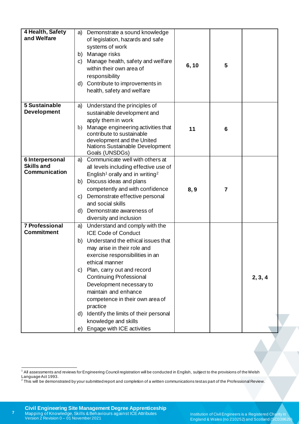| 4 Health, Safety<br>and Welfare                       | Demonstrate a sound knowledge<br>a)<br>of legislation, hazards and safe<br>systems of work<br>Manage risks<br>b)<br>Manage health, safety and welfare<br>C)<br>within their own area of<br>responsibility<br>Contribute to improvements in<br>d)<br>health, safety and welfare                                                                                                                                                                                                         | 5<br>6, 10            |         |
|-------------------------------------------------------|----------------------------------------------------------------------------------------------------------------------------------------------------------------------------------------------------------------------------------------------------------------------------------------------------------------------------------------------------------------------------------------------------------------------------------------------------------------------------------------|-----------------------|---------|
| 5 Sustainable<br><b>Development</b>                   | Understand the principles of<br>a)<br>sustainable development and<br>apply them in work<br>Manage engineering activities that<br>b)<br>contribute to sustainable<br>development and the United<br>Nations Sustainable Development<br>Goals (UNSDGs)                                                                                                                                                                                                                                    | 11<br>6               |         |
| 6 Interpersonal<br><b>Skills and</b><br>Communication | Communicate well with others at<br>a)<br>all levels including effective use of<br>English <sup>1</sup> orally and in writing <sup>2</sup><br>Discuss ideas and plans<br>b)<br>competently and with confidence<br>Demonstrate effective personal<br>C)<br>and social skills<br>Demonstrate awareness of<br>d)<br>diversity and inclusion                                                                                                                                                | 8,9<br>$\overline{7}$ |         |
| <b>7 Professional</b><br><b>Commitment</b>            | Understand and comply with the<br>a)<br><b>ICE Code of Conduct</b><br>Understand the ethical issues that<br>b)<br>may arise in their role and<br>exercise responsibilities in an<br>ethical manner<br>Plan, carry out and record<br>C)<br><b>Continuing Professional</b><br>Development necessary to<br>maintain and enhance<br>competence in their own area of<br>practice<br>Identify the limits of their personal<br>d)<br>knowledge and skills<br>Engage with ICE activities<br>e) |                       | 2, 3, 4 |

<sup>&</sup>lt;sup>1</sup> All assessments and reviews for Engineering Council registration will be conducted in English, subject to the provisions of the Welsh Language Act 1993.<br><sup>2</sup> This will be demonstrated by your submitted report and completion of a written communications testas part of the Professional Review.